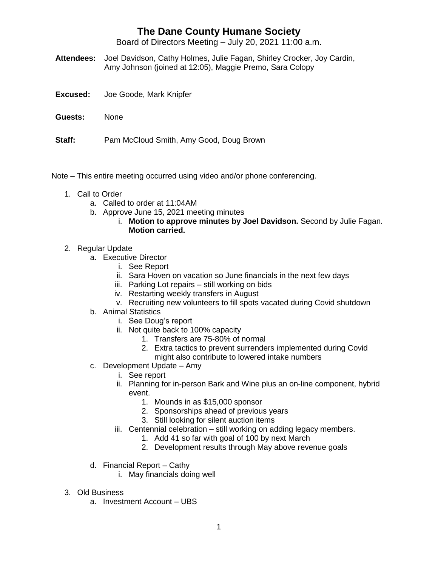## **The Dane County Humane Society**

Board of Directors Meeting – July 20, 2021 11:00 a.m.

- **Attendees:** Joel Davidson, Cathy Holmes, Julie Fagan, Shirley Crocker, Joy Cardin, Amy Johnson (joined at 12:05), Maggie Premo, Sara Colopy
- **Excused:** Joe Goode, Mark Knipfer
- **Guests:** None
- **Staff:** Pam McCloud Smith, Amy Good, Doug Brown
- Note This entire meeting occurred using video and/or phone conferencing.
	- 1. Call to Order
		- a. Called to order at 11:04AM
		- b. Approve June 15, 2021 meeting minutes
			- i. **Motion to approve minutes by Joel Davidson.** Second by Julie Fagan. **Motion carried.**
	- 2. Regular Update
		- a. Executive Director
			- i. See Report
			- ii. Sara Hoven on vacation so June financials in the next few days
			- iii. Parking Lot repairs still working on bids
			- iv. Restarting weekly transfers in August
			- v. Recruiting new volunteers to fill spots vacated during Covid shutdown
		- b. Animal Statistics
			- i. See Doug's report
			- ii. Not quite back to 100% capacity
				- 1. Transfers are 75-80% of normal
				- 2. Extra tactics to prevent surrenders implemented during Covid might also contribute to lowered intake numbers
		- c. Development Update Amy
			- i. See report
			- ii. Planning for in-person Bark and Wine plus an on-line component, hybrid event.
				- 1. Mounds in as \$15,000 sponsor
				- 2. Sponsorships ahead of previous years
				- 3. Still looking for silent auction items
			- iii. Centennial celebration still working on adding legacy members.
				- 1. Add 41 so far with goal of 100 by next March
				- 2. Development results through May above revenue goals
		- d. Financial Report Cathy
			- i. May financials doing well
	- 3. Old Business
		- a. Investment Account UBS